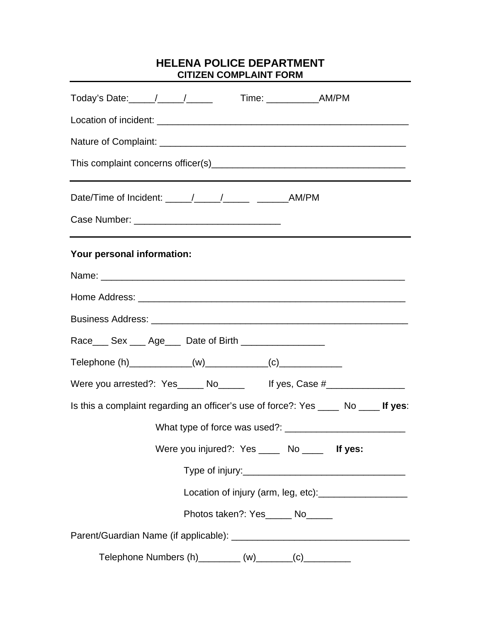## **HELENA POLICE DEPARTMENT CITIZEN COMPLAINT FORM**

| Date/Time of Incident: _____/_____/________ __________AM/PM                         |
|-------------------------------------------------------------------------------------|
|                                                                                     |
| Your personal information:                                                          |
| Name: Name:                                                                         |
|                                                                                     |
|                                                                                     |
| Race____ Sex ____ Age____ Date of Birth ___________________                         |
|                                                                                     |
| Were you arrested?: Yes_____ No______ If yes, Case #______________                  |
| Is this a complaint regarding an officer's use of force?: Yes _____ No ____ If yes: |
|                                                                                     |
| Were you injured?: Yes _____ No _____ If yes:                                       |
|                                                                                     |
| Location of injury (arm, leg, etc): __________________                              |
| Photos taken?: Yes______ No_____                                                    |
|                                                                                     |
| Telephone Numbers (h)_________ (w)________ (c)_________                             |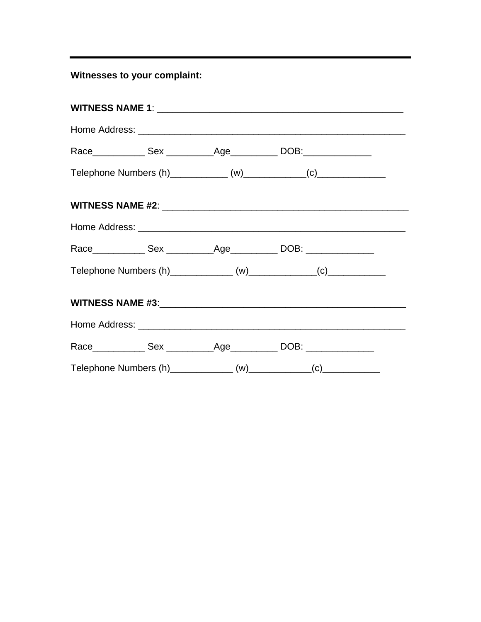Witnesses to your complaint:

|  | Telephone Numbers (h)____________ (w)_____________(c)______________    |  |
|--|------------------------------------------------------------------------|--|
|  |                                                                        |  |
|  |                                                                        |  |
|  |                                                                        |  |
|  | Telephone Numbers (h)______________ (w)_______________(c)_____________ |  |
|  |                                                                        |  |
|  |                                                                        |  |
|  |                                                                        |  |
|  | Telephone Numbers (h)______________ (w)______________(c)_____________  |  |